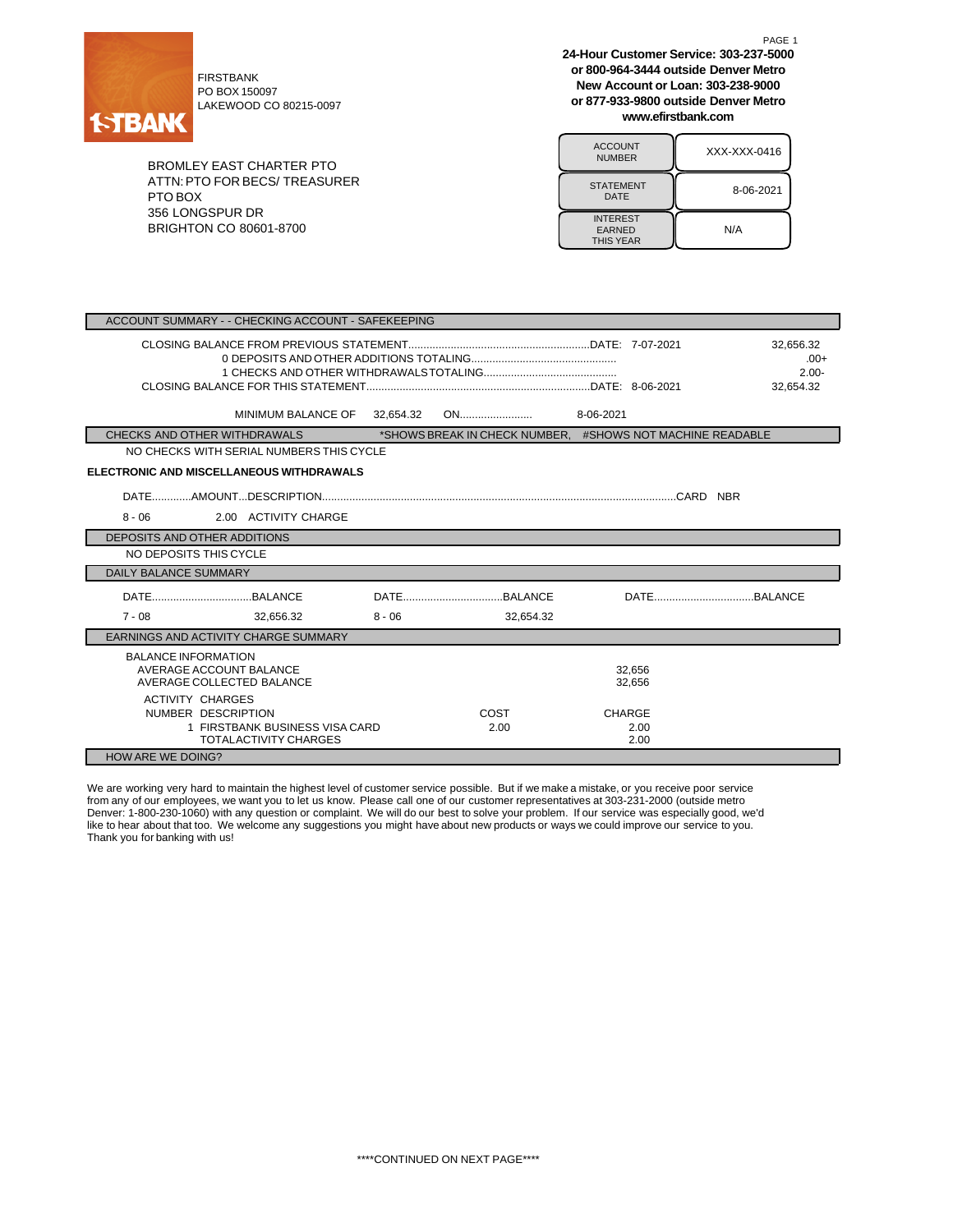

PO BOX 150097 LAKEWOOD CO 80215-0097

BROMLEY EAST CHARTER PTO ATTN:PTO FOR BECS/ TREASURER PTO BOX 356 LONGSPUR DR BRIGHTON CO 80601-8700

**24-Hour Customer Service: 303-237-5000 or 800-964-3444 outside Denver Metro New Account or Loan: 303-238-9000 or 877-933-9800 outside Denver Metro www.efirstbank.com**

PAGE 1

| <b>ACCOUNT</b><br><b>NUMBER</b>                      | XXX-XXX-0416 |
|------------------------------------------------------|--------------|
| <b>STATEMENT</b><br>DATE                             | 8-06-2021    |
| <b>INTEREST</b><br><b>EARNED</b><br><b>THIS YEAR</b> | N/A          |

| ACCOUNT SUMMARY - - CHECKING ACCOUNT - SAFEKEEPING                                                              |           |              |                                                           |                                              |
|-----------------------------------------------------------------------------------------------------------------|-----------|--------------|-----------------------------------------------------------|----------------------------------------------|
|                                                                                                                 |           |              |                                                           | 32,656.32<br>$.00+$<br>$2.00 -$<br>32.654.32 |
| MINIMUM BALANCE OF                                                                                              | 32,654.32 |              | 8-06-2021                                                 |                                              |
| CHECKS AND OTHER WITHDRAWALS                                                                                    |           |              | *SHOWS BREAK IN CHECK NUMBER, #SHOWS NOT MACHINE READABLE |                                              |
| NO CHECKS WITH SERIAL NUMBERS THIS CYCLE                                                                        |           |              |                                                           |                                              |
| <b>ELECTRONIC AND MISCELLANEOUS WITHDRAWALS</b>                                                                 |           |              |                                                           |                                              |
|                                                                                                                 |           |              |                                                           |                                              |
| 2.00 ACTIVITY CHARGE<br>$8 - 06$                                                                                |           |              |                                                           |                                              |
| DEPOSITS AND OTHER ADDITIONS                                                                                    |           |              |                                                           |                                              |
| NO DEPOSITS THIS CYCLE                                                                                          |           |              |                                                           |                                              |
| <b>DAILY BALANCE SUMMARY</b>                                                                                    |           |              |                                                           |                                              |
|                                                                                                                 |           |              |                                                           |                                              |
| $7 - 08$<br>32,656.32                                                                                           | $8 - 06$  | 32,654.32    |                                                           |                                              |
| EARNINGS AND ACTIVITY CHARGE SUMMARY                                                                            |           |              |                                                           |                                              |
| <b>BALANCE INFORMATION</b><br>AVERAGE ACCOUNT BALANCE<br>AVERAGE COLLECTED BALANCE                              |           |              | 32,656<br>32.656                                          |                                              |
| <b>ACTIVITY CHARGES</b><br>NUMBER DESCRIPTION<br>1 FIRSTBANK BUSINESS VISA CARD<br><b>TOTALACTIVITY CHARGES</b> |           | COST<br>2.00 | <b>CHARGE</b><br>2.00<br>2.00                             |                                              |
| HOW ARE WE DOING?                                                                                               |           |              |                                                           |                                              |

We are working very hard to maintain the highest level of customer service possible. But if we make a mistake, or you receive poor service from any of our employees, we want you to let us know. Please call one of our customer representatives at 303-231-2000 (outside metro Denver: 1-800-230-1060) with any question or complaint. We will do our best to solve your problem. If our service was especially good, we'd like to hear about that too. We welcome any suggestions you might have about new products or ways we could improve our service to you. Thank you for banking with us!

\*\*\*\*CONTINUED ON NEXT PAGE\*\*\*\*